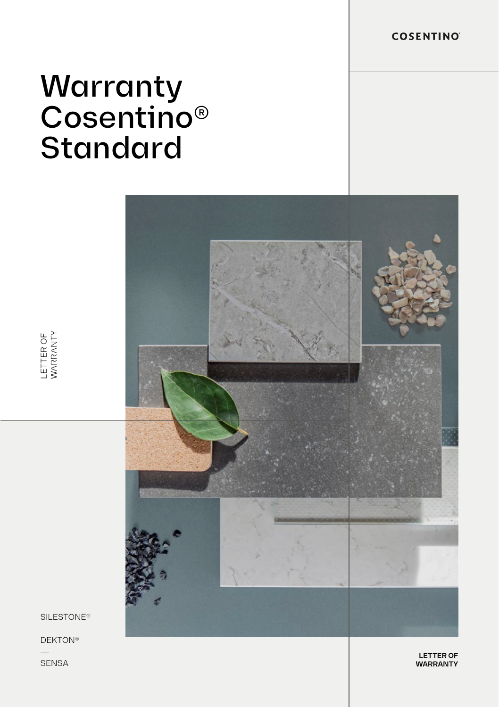**COSENTINO** 

# Warranty Cosentino® **Standard**



LETTER OF<br>WARRANTY

SILESTONE® **DEKTON®** SENSA LETTER OF WARRANTY<br>SENSA WARRANTY<br>SENSA

**SENSA** 

**LETTER OF WARRANTY**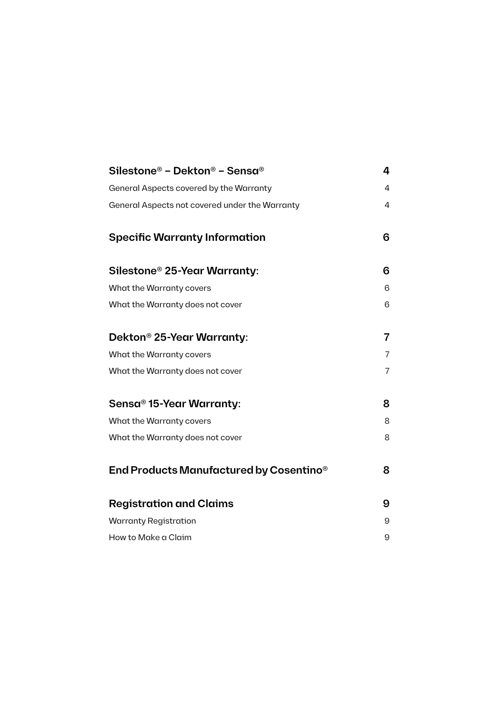| Silestone® - Dekton® - Sensa®                  | 4 |
|------------------------------------------------|---|
| General Aspects covered by the Warranty        | 4 |
| General Aspects not covered under the Warranty | 4 |
| <b>Specific Warranty Information</b>           | 6 |
|                                                |   |
| Silestone® 25-Year Warranty:                   | 6 |
| What the Warranty covers                       | 6 |
| What the Warranty does not cover               | 6 |
|                                                |   |
| Dekton® 25-Year Warranty:                      | 7 |
| What the Warranty covers                       | 7 |
| What the Warranty does not cover               | 7 |
|                                                |   |
| Sensa® 15-Year Warranty:                       | 8 |
| What the Warranty covers                       | 8 |
| What the Warranty does not cover               | 8 |
|                                                |   |
| End Products Manufactured by Cosentino®        | 8 |
| <b>Registration and Claims</b>                 | 9 |
| <b>Warranty Registration</b>                   | 9 |
| How to Make a Claim                            | 9 |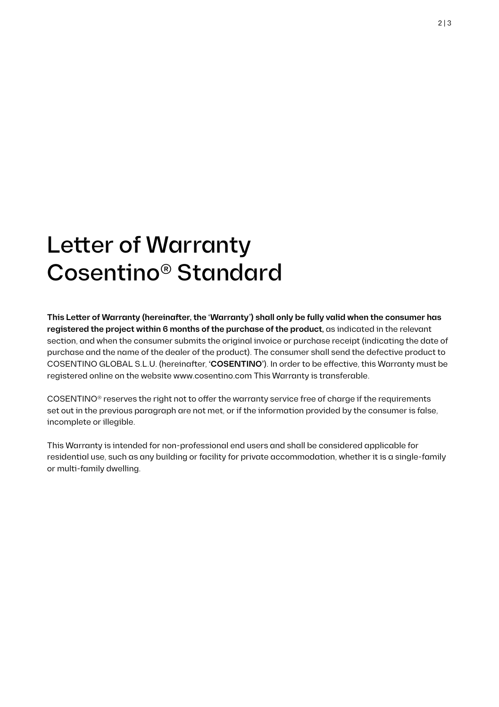## Letter of Warranty Cosentino® Standard

**This Letter of Warranty (hereinafter, the 'Warranty') shall only be fully valid when the consumer has registered the project within 6 months of the purchase of the product,** as indicated in the relevant section, and when the consumer submits the original invoice or purchase receipt (indicating the date of purchase and the name of the dealer of the product). The consumer shall send the defective product to COSENTINO GLOBAL S.L.U. (hereinafter, **'COSENTINO'**). In order to be effective, this Warranty must be registered online on the website www.cosentino.com This Warranty is transferable.

COSENTINO® reserves the right not to offer the warranty service free of charge if the requirements set out in the previous paragraph are not met, or if the information provided by the consumer is false, incomplete or illegible.

This Warranty is intended for non-professional end users and shall be considered applicable for residential use, such as any building or facility for private accommodation, whether it is a single-family or multi-family dwelling.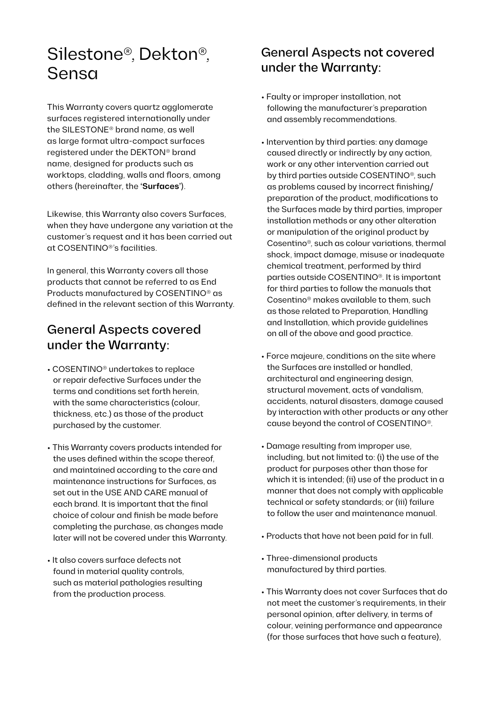## Silestone®, Dekton®, Sensa

This Warranty covers quartz agglomerate surfaces registered internationally under the SILESTONE® brand name, as well as large format ultra-compact surfaces registered under the DEKTON® brand name, designed for products such as worktops, cladding, walls and floors, among others (hereinafter, the **'Surfaces'**).

Likewise, this Warranty also covers Surfaces, when they have undergone any variation at the customer's request and it has been carried out at COSENTINO®'s facilities.

In general, this Warranty covers all those products that cannot be referred to as End Products manufactured by COSENTINO® as defined in the relevant section of this Warranty.

#### General Aspects covered under the Warranty:

- COSENTINO® undertakes to replace or repair defective Surfaces under the terms and conditions set forth herein, with the same characteristics (colour, thickness, etc.) as those of the product purchased by the customer.
- This Warranty covers products intended for the uses defined within the scope thereof, and maintained according to the care and maintenance instructions for Surfaces, as set out in the USE AND CARE manual of each brand. It is important that the final choice of colour and finish be made before completing the purchase, as changes made later will not be covered under this Warranty.
- It also covers surface defects not found in material quality controls. such as material pathologies resulting from the production process.

#### General Aspects not covered under the Warranty:

- Faulty or improper installation, not following the manufacturer's preparation and assembly recommendations.
- Intervention by third parties: any damage caused directly or indirectly by any action, work or any other intervention carried out by third parties outside COSENTINO®, such as problems caused by incorrect finishing/ preparation of the product, modifications to the Surfaces made by third parties, improper installation methods or any other alteration or manipulation of the original product by Cosentino®, such as colour variations, thermal shock, impact damage, misuse or inadequate chemical treatment, performed by third parties outside COSENTINO®. It is important for third parties to follow the manuals that Cosentino® makes available to them, such as those related to Preparation, Handling and Installation, which provide guidelines on all of the above and good practice.
- Force majeure, conditions on the site where the Surfaces are installed or handled, architectural and engineering design, structural movement, acts of vandalism, accidents, natural disasters, damage caused by interaction with other products or any other cause beyond the control of COSENTINO®.
- Damage resulting from improper use, including, but not limited to: (i) the use of the product for purposes other than those for which it is intended; (ii) use of the product in a manner that does not comply with applicable technical or safety standards; or (iii) failure to follow the user and maintenance manual.
- Products that have not been paid for in full.
- Three-dimensional products manufactured by third parties.
- This Warranty does not cover Surfaces that do not meet the customer's requirements, in their personal opinion, after delivery, in terms of colour, veining performance and appearance (for those surfaces that have such a feature),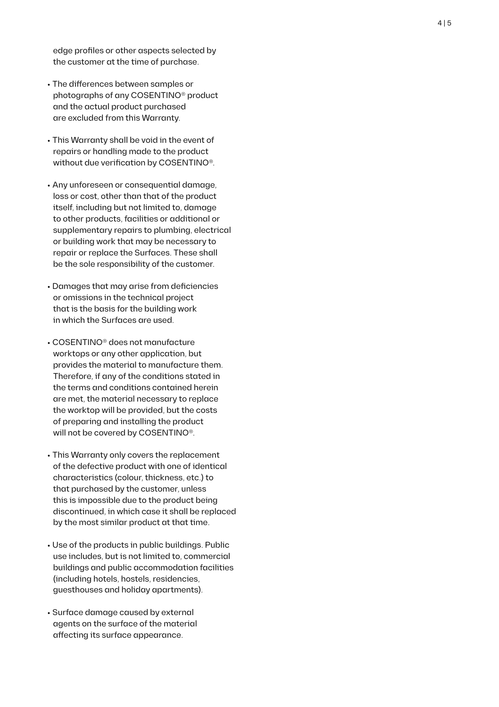edge profiles or other aspects selected by the customer at the time of purchase.

- The differences between samples or photographs of any COSENTINO® product and the actual product purchased are excluded from this Warranty.
- This Warranty shall be void in the event of repairs or handling made to the product without due verification by COSENTINO®.
- Any unforeseen or consequential damage, loss or cost, other than that of the product itself, including but not limited to, damage to other products, facilities or additional or supplementary repairs to plumbing, electrical or building work that may be necessary to repair or replace the Surfaces. These shall be the sole responsibility of the customer.
- Damages that may arise from deficiencies or omissions in the technical project that is the basis for the building work in which the Surfaces are used.
- COSENTINO® does not manufacture worktops or any other application, but provides the material to manufacture them. Therefore, if any of the conditions stated in the terms and conditions contained herein are met, the material necessary to replace the worktop will be provided, but the costs of preparing and installing the product will not be covered by COSENTINO®.
- This Warranty only covers the replacement of the defective product with one of identical characteristics (colour, thickness, etc.) to that purchased by the customer, unless this is impossible due to the product being discontinued, in which case it shall be replaced by the most similar product at that time.
- Use of the products in public buildings. Public use includes, but is not limited to, commercial buildings and public accommodation facilities (including hotels, hostels, residencies, guesthouses and holiday apartments).
- Surface damage caused by external agents on the surface of the material affecting its surface appearance.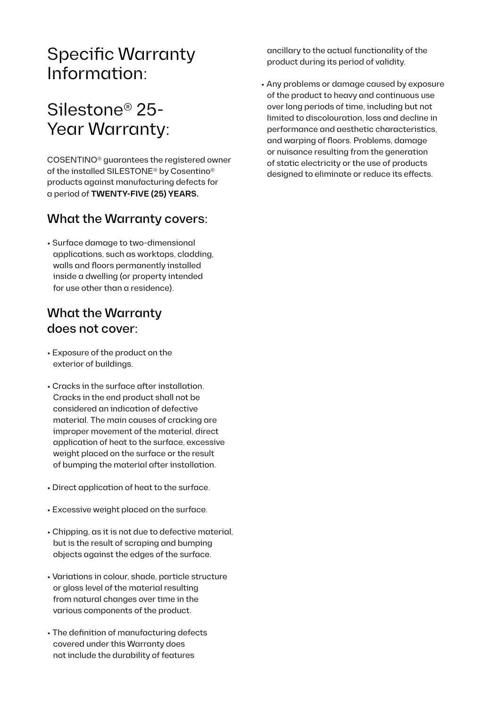## Specific Warranty Information:

## Silestone® 25- Year Warranty:

COSENTINO® guarantees the registered owner of the installed SILESTONE® by Cosentino® products against manufacturing defects for a period of **TWENTY-FIVE (25) YEARS.**

#### What the Warranty covers:

• Surface damage to two-dimensional applications, such as worktops, cladding, walls and floors permanently installed inside a dwelling (or property intended for use other than a residence).

#### What the Warranty does not cover:

- Exposure of the product on the exterior of buildings.
- Cracks in the surface after installation. Cracks in the end product shall not be considered an indication of defective material. The main causes of cracking are improper movement of the material, direct application of heat to the surface, excessive weight placed on the surface or the result of bumping the material after installation.
- Direct application of heat to the surface.
- Excessive weight placed on the surface.
- Chipping, as it is not due to defective material, but is the result of scraping and bumping objects against the edges of the surface.
- Variations in colour, shade, particle structure or gloss level of the material resulting from natural changes over time in the various components of the product.
- The definition of manufacturing defects covered under this Warranty does not include the durability of features

ancillary to the actual functionality of the product during its period of validity.

• Any problems or damage caused by exposure of the product to heavy and continuous use over long periods of time, including but not limited to discolouration, loss and decline in performance and aesthetic characteristics, and warping of floors. Problems, damage or nuisance resulting from the generation of static electricity or the use of products designed to eliminate or reduce its effects.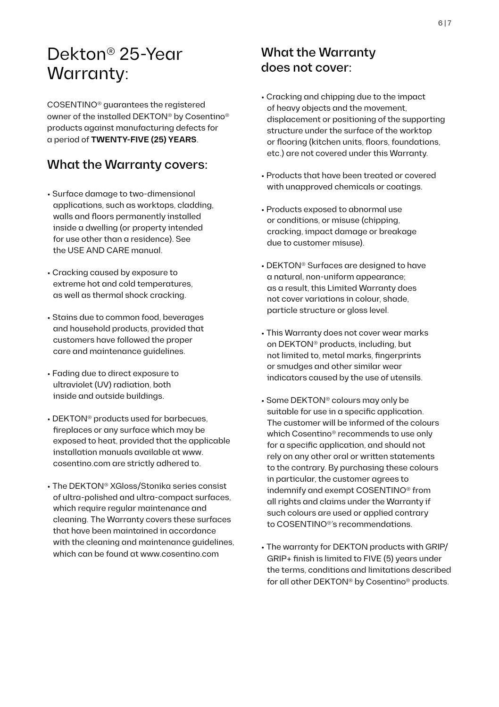### Dekton® 25-Year Warranty:

COSENTINO® guarantees the registered owner of the installed DEKTON® by Cosentino® products against manufacturing defects for a period of **TWENTY-FIVE (25) YEARS**.

#### What the Warranty covers:

- Surface damage to two-dimensional applications, such as worktops, cladding, walls and floors permanently installed inside a dwelling (or property intended for use other than a residence). See the USE AND CARE manual.
- Cracking caused by exposure to extreme hot and cold temperatures, as well as thermal shock cracking.
- Stains due to common food, beverages and household products, provided that customers have followed the proper care and maintenance guidelines.
- Fading due to direct exposure to ultraviolet (UV) radiation, both inside and outside buildings.
- DEKTON® products used for barbecues, fireplaces or any surface which may be exposed to heat, provided that the applicable installation manuals available at www. cosentino.com are strictly adhered to.
- The DEKTON® XGloss/Stonika series consist of ultra-polished and ultra-compact surfaces, which require regular maintenance and cleaning. The Warranty covers these surfaces that have been maintained in accordance with the cleaning and maintenance guidelines, which can be found at www.cosentino.com

#### What the Warranty does not cover:

- Cracking and chipping due to the impact of heavy objects and the movement, displacement or positioning of the supporting structure under the surface of the worktop or flooring (kitchen units, floors, foundations, etc.) are not covered under this Warranty.
- Products that have been treated or covered with unapproved chemicals or coatings.
- Products exposed to abnormal use or conditions, or misuse (chipping, cracking, impact damage or breakage due to customer misuse).
- DEKTON® Surfaces are designed to have a natural, non-uniform appearance; as a result, this Limited Warranty does not cover variations in colour, shade, particle structure or gloss level.
- This Warranty does not cover wear marks on DEKTON® products, including, but not limited to, metal marks, fingerprints or smudges and other similar wear indicators caused by the use of utensils.
- Some DEKTON® colours may only be suitable for use in a specific application. The customer will be informed of the colours which Cosentino® recommends to use only for a specific application, and should not rely on any other oral or written statements to the contrary. By purchasing these colours in particular, the customer agrees to indemnify and exempt COSENTINO® from all rights and claims under the Warranty if such colours are used or applied contrary to COSENTINO®'s recommendations.
- The warranty for DEKTON products with GRIP/ GRIP+ finish is limited to FIVE (5) years under the terms, conditions and limitations described for all other DEKTON® by Cosentino® products.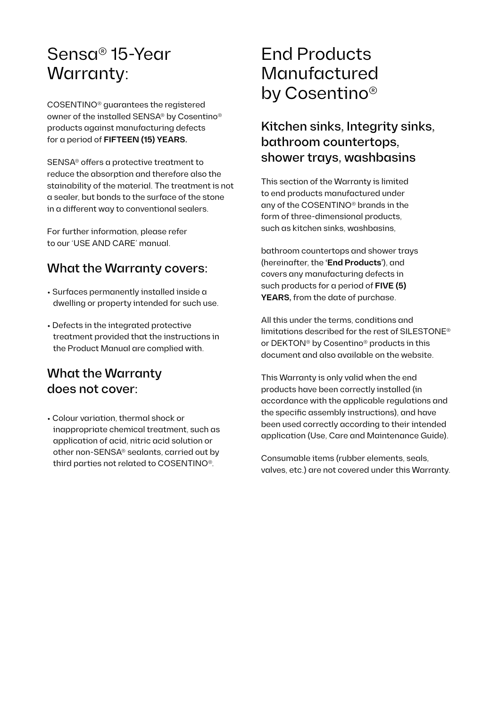## Sensa® 15-Year Warranty:

COSENTINO® guarantees the registered owner of the installed SENSA® by Cosentino® products against manufacturing defects for a period of **FIFTEEN (15) YEARS.**

SENSA® offers a protective treatment to reduce the absorption and therefore also the stainability of the material. The treatment is not a sealer, but bonds to the surface of the stone in a different way to conventional sealers.

For further information, please refer to our 'USE AND CARE' manual.

#### What the Warranty covers:

- Surfaces permanently installed inside a dwelling or property intended for such use.
- Defects in the integrated protective treatment provided that the instructions in the Product Manual are complied with.

#### What the Warranty does not cover:

• Colour variation, thermal shock or inappropriate chemical treatment, such as application of acid, nitric acid solution or other non-SENSA® sealants, carried out by third parties not related to COSENTINO®.

## End Products Manufactured by Cosentino®

#### Kitchen sinks, Integrity sinks, bathroom countertops, shower trays, washbasins

This section of the Warranty is limited to end products manufactured under any of the COSENTINO® brands in the form of three-dimensional products, such as kitchen sinks, washbasins,

bathroom countertops and shower trays (hereinafter, the **'End Products'**), and covers any manufacturing defects in such products for a period of **FIVE (5) YEARS,** from the date of purchase.

All this under the terms, conditions and limitations described for the rest of SILESTONE® or DEKTON® by Cosentino® products in this document and also available on the website.

This Warranty is only valid when the end products have been correctly installed (in accordance with the applicable regulations and the specific assembly instructions), and have been used correctly according to their intended application (Use, Care and Maintenance Guide).

Consumable items (rubber elements, seals, valves, etc.) are not covered under this Warranty.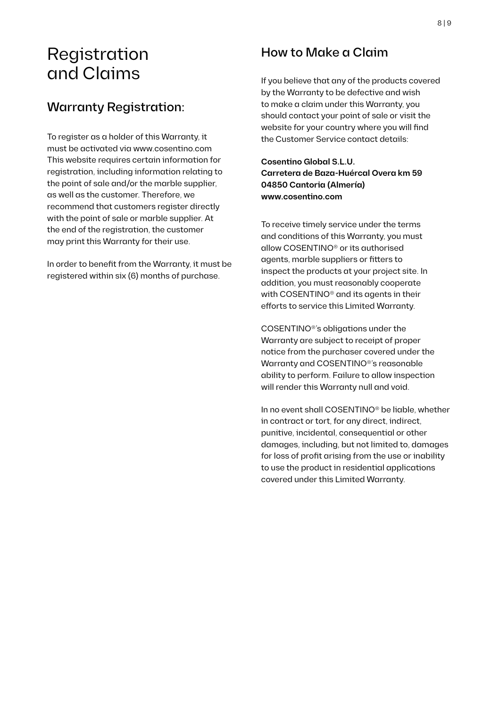## Registration and Claims

#### Warranty Registration:

To register as a holder of this Warranty, it must be activated via www.cosentino.com This website requires certain information for registration, including information relating to the point of sale and/or the marble supplier, as well as the customer. Therefore, we recommend that customers register directly with the point of sale or marble supplier. At the end of the registration, the customer may print this Warranty for their use.

In order to benefit from the Warranty, it must be registered within six (6) months of purchase.

#### How to Make a Claim

If you believe that any of the products covered by the Warranty to be defective and wish to make a claim under this Warranty, you should contact your point of sale or visit the website for your country where you will find the Customer Service contact details:

**Cosentino Global S.L.U. Carretera de Baza-Huércal Overa km 59 04850 Cantoria (Almería) www.cosentino.com**

To receive timely service under the terms and conditions of this Warranty, you must allow COSENTINO® or its authorised agents, marble suppliers or fitters to inspect the products at your project site. In addition, you must reasonably cooperate with COSENTINO® and its agents in their efforts to service this Limited Warranty.

COSENTINO®'s obligations under the Warranty are subject to receipt of proper notice from the purchaser covered under the Warranty and COSENTINO®'s reasonable ability to perform. Failure to allow inspection will render this Warranty null and void.

In no event shall COSENTINO® be liable, whether in contract or tort, for any direct, indirect, punitive, incidental, consequential or other damages, including, but not limited to, damages for loss of profit arising from the use or inability to use the product in residential applications covered under this Limited Warranty.